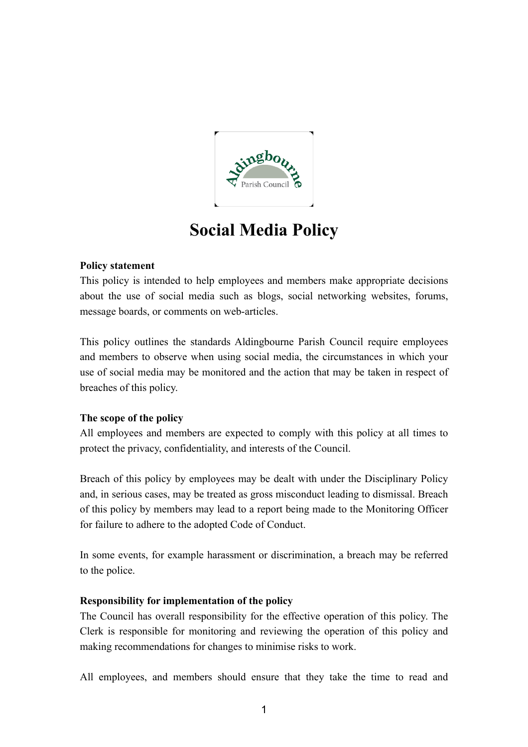

# **Social Media Policy**

## **Policy statement**

This policy is intended to help employees and members make appropriate decisions about the use of social media such as blogs, social networking websites, forums, message boards, or comments on web-articles.

This policy outlines the standards Aldingbourne Parish Council require employees and members to observe when using social media, the circumstances in which your use of social media may be monitored and the action that may be taken in respect of breaches of this policy.

### **The scope of the policy**

All employees and members are expected to comply with this policy at all times to protect the privacy, confidentiality, and interests of the Council.

Breach of this policy by employees may be dealt with under the Disciplinary Policy and, in serious cases, may be treated as gross misconduct leading to dismissal. Breach of this policy by members may lead to a report being made to the Monitoring Officer for failure to adhere to the adopted Code of Conduct.

In some events, for example harassment or discrimination, a breach may be referred to the police.

### **Responsibility for implementation of the policy**

The Council has overall responsibility for the effective operation of this policy. The Clerk is responsible for monitoring and reviewing the operation of this policy and making recommendations for changes to minimise risks to work.

All employees, and members should ensure that they take the time to read and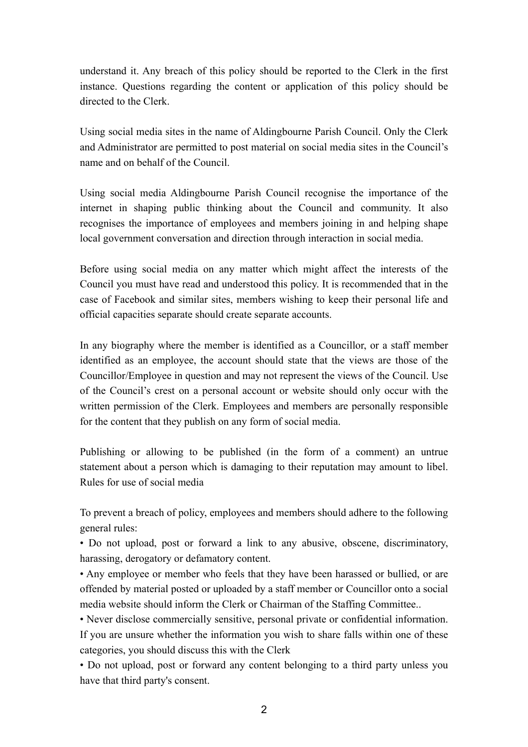understand it. Any breach of this policy should be reported to the Clerk in the first instance. Questions regarding the content or application of this policy should be directed to the Clerk.

Using social media sites in the name of Aldingbourne Parish Council. Only the Clerk and Administrator are permitted to post material on social media sites in the Council's name and on behalf of the Council.

Using social media Aldingbourne Parish Council recognise the importance of the internet in shaping public thinking about the Council and community. It also recognises the importance of employees and members joining in and helping shape local government conversation and direction through interaction in social media.

Before using social media on any matter which might affect the interests of the Council you must have read and understood this policy. It is recommended that in the case of Facebook and similar sites, members wishing to keep their personal life and official capacities separate should create separate accounts.

In any biography where the member is identified as a Councillor, or a staff member identified as an employee, the account should state that the views are those of the Councillor/Employee in question and may not represent the views of the Council. Use of the Council's crest on a personal account or website should only occur with the written permission of the Clerk. Employees and members are personally responsible for the content that they publish on any form of social media.

Publishing or allowing to be published (in the form of a comment) an untrue statement about a person which is damaging to their reputation may amount to libel. Rules for use of social media

To prevent a breach of policy, employees and members should adhere to the following general rules:

• Do not upload, post or forward a link to any abusive, obscene, discriminatory, harassing, derogatory or defamatory content.

• Any employee or member who feels that they have been harassed or bullied, or are offended by material posted or uploaded by a staff member or Councillor onto a social media website should inform the Clerk or Chairman of the Staffing Committee..

• Never disclose commercially sensitive, personal private or confidential information. If you are unsure whether the information you wish to share falls within one of these categories, you should discuss this with the Clerk

• Do not upload, post or forward any content belonging to a third party unless you have that third party's consent.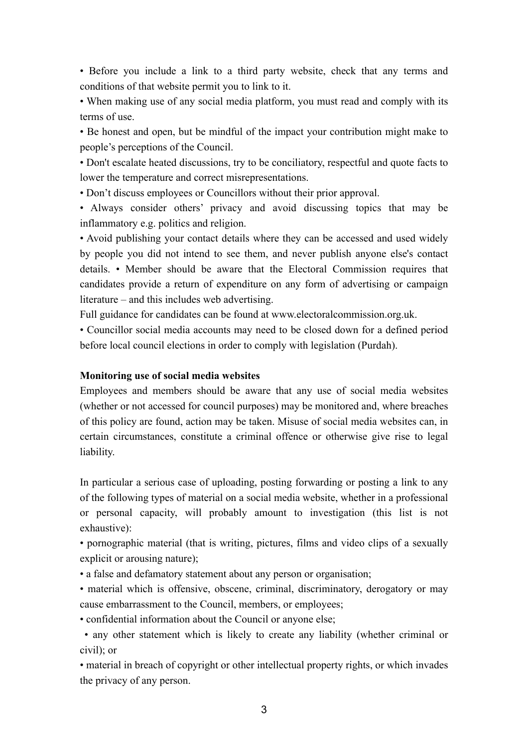• Before you include a link to a third party website, check that any terms and conditions of that website permit you to link to it.

• When making use of any social media platform, you must read and comply with its terms of use.

• Be honest and open, but be mindful of the impact your contribution might make to people's perceptions of the Council.

• Don't escalate heated discussions, try to be conciliatory, respectful and quote facts to lower the temperature and correct misrepresentations.

• Don't discuss employees or Councillors without their prior approval.

• Always consider others' privacy and avoid discussing topics that may be inflammatory e.g. politics and religion.

• Avoid publishing your contact details where they can be accessed and used widely by people you did not intend to see them, and never publish anyone else's contact details. • Member should be aware that the Electoral Commission requires that candidates provide a return of expenditure on any form of advertising or campaign literature – and this includes web advertising.

Full guidance for candidates can be found at www.electoralcommission.org.uk.

• Councillor social media accounts may need to be closed down for a defined period before local council elections in order to comply with legislation (Purdah).

#### **Monitoring use of social media websites**

Employees and members should be aware that any use of social media websites (whether or not accessed for council purposes) may be monitored and, where breaches of this policy are found, action may be taken. Misuse of social media websites can, in certain circumstances, constitute a criminal offence or otherwise give rise to legal liability.

In particular a serious case of uploading, posting forwarding or posting a link to any of the following types of material on a social media website, whether in a professional or personal capacity, will probably amount to investigation (this list is not exhaustive):

• pornographic material (that is writing, pictures, films and video clips of a sexually explicit or arousing nature);

• a false and defamatory statement about any person or organisation;

• material which is offensive, obscene, criminal, discriminatory, derogatory or may cause embarrassment to the Council, members, or employees;

• confidential information about the Council or anyone else;

 • any other statement which is likely to create any liability (whether criminal or civil); or

• material in breach of copyright or other intellectual property rights, or which invades the privacy of any person.